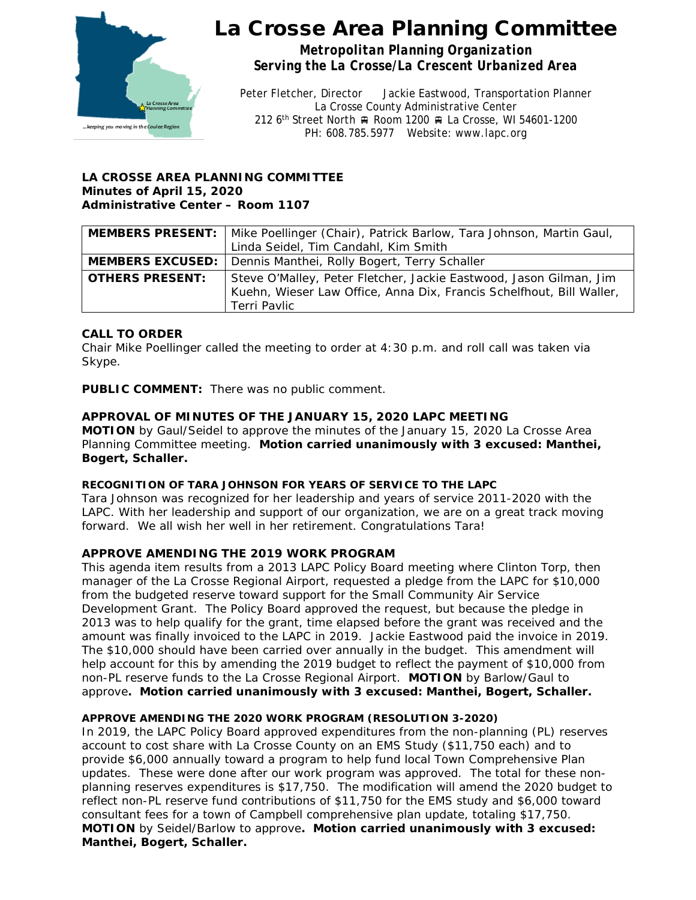

# La Crosse Area Planning Committee

*Metropolitan Planning Organization Serving the La Crosse/La Crescent Urbanized Area*

Peter Fletcher, Director Jackie Eastwood, Transportation Planner La Crosse County Administrative Center 212 6<sup>th</sup> Street North A Room 1200 R La Crosse, WI 54601-1200 PH: 608.785.5977 Website: www.lapc.org

## **LA CROSSE AREA PLANNING COMMITTEE Minutes of April 15, 2020 Administrative Center – Room 1107**

|                        | MEMBERS PRESENT:   Mike Poellinger (Chair), Patrick Barlow, Tara Johnson, Martin Gaul,                                                                     |
|------------------------|------------------------------------------------------------------------------------------------------------------------------------------------------------|
|                        | Linda Seidel, Tim Candahl, Kim Smith                                                                                                                       |
|                        | <b>MEMBERS EXCUSED:</b>   Dennis Manthei, Rolly Bogert, Terry Schaller                                                                                     |
| <b>OTHERS PRESENT:</b> | Steve O'Malley, Peter Fletcher, Jackie Eastwood, Jason Gilman, Jim<br>Kuehn, Wieser Law Office, Anna Dix, Francis Schelfhout, Bill Waller,<br>Terri Pavlic |

# **CALL TO ORDER**

Chair Mike Poellinger called the meeting to order at 4:30 p.m. and roll call was taken via Skype.

**PUBLIC COMMENT:** There was no public comment.

# **APPROVAL OF MINUTES OF THE JANUARY 15, 2020 LAPC MEETING**

**MOTION** by Gaul/Seidel to approve the minutes of the January 15, 2020 La Crosse Area Planning Committee meeting. **Motion carried unanimously with 3 excused: Manthei, Bogert, Schaller.**

## **RECOGNITION OF TARA JOHNSON FOR YEARS OF SERVICE TO THE LAPC**

Tara Johnson was recognized for her leadership and years of service 2011-2020 with the LAPC. With her leadership and support of our organization, we are on a great track moving forward. We all wish her well in her retirement. Congratulations Tara!

# **APPROVE AMENDING THE 2019 WORK PROGRAM**

This agenda item results from a 2013 LAPC Policy Board meeting where Clinton Torp, then manager of the La Crosse Regional Airport, requested a pledge from the LAPC for \$10,000 from the budgeted reserve toward support for the Small Community Air Service Development Grant. The Policy Board approved the request, but because the pledge in 2013 was to help qualify for the grant, time elapsed before the grant was received and the amount was finally invoiced to the LAPC in 2019. Jackie Eastwood paid the invoice in 2019. The \$10,000 should have been carried over annually in the budget. This amendment will help account for this by amending the 2019 budget to reflect the payment of \$10,000 from non-PL reserve funds to the La Crosse Regional Airport. **MOTION** by Barlow/Gaul to approve**. Motion carried unanimously with 3 excused: Manthei, Bogert, Schaller.** 

## **APPROVE AMENDING THE 2020 WORK PROGRAM (RESOLUTION 3-2020)**

In 2019, the LAPC Policy Board approved expenditures from the non-planning (PL) reserves account to cost share with La Crosse County on an EMS Study (\$11,750 each) and to provide \$6,000 annually toward a program to help fund local Town Comprehensive Plan updates. These were done after our work program was approved. The total for these nonplanning reserves expenditures is \$17,750. The modification will amend the 2020 budget to reflect non-PL reserve fund contributions of \$11,750 for the EMS study and \$6,000 toward consultant fees for a town of Campbell comprehensive plan update, totaling \$17,750. **MOTION** by Seidel/Barlow to approve**. Motion carried unanimously with 3 excused: Manthei, Bogert, Schaller.**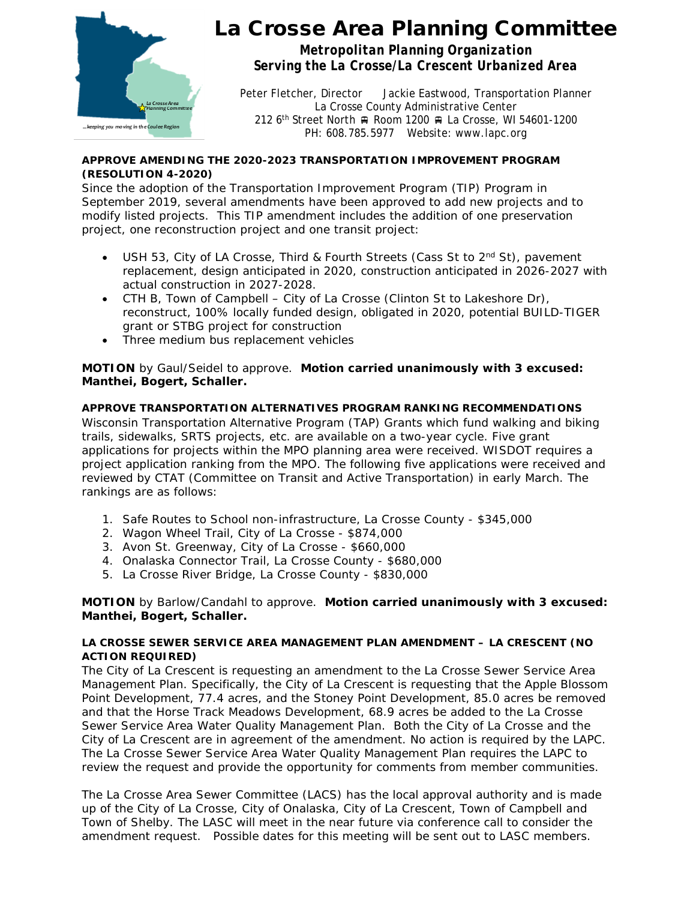

# La Crosse Area Planning Committee

*Metropolitan Planning Organization Serving the La Crosse/La Crescent Urbanized Area*

Peter Fletcher, Director Jackie Eastwood, Transportation Planner La Crosse County Administrative Center 212 6<sup>th</sup> Street North A Room 1200 R La Crosse, WI 54601-1200 PH: 608.785.5977 Website: www.lapc.org

### **APPROVE AMENDING THE 2020-2023 TRANSPORTATION IMPROVEMENT PROGRAM (RESOLUTION 4-2020)**

Since the adoption of the Transportation Improvement Program (TIP) Program in September 2019, several amendments have been approved to add new projects and to modify listed projects. This TIP amendment includes the addition of one preservation project, one reconstruction project and one transit project:

- USH 53, City of LA Crosse, Third & Fourth Streets (Cass St to  $2^{nd}$  St), pavement replacement, design anticipated in 2020, construction anticipated in 2026-2027 with actual construction in 2027-2028.
- CTH B, Town of Campbell City of La Crosse (Clinton St to Lakeshore Dr), reconstruct, 100% locally funded design, obligated in 2020, potential BUILD-TIGER grant or STBG project for construction
- Three medium bus replacement vehicles

## **MOTION** by Gaul/Seidel to approve. **Motion carried unanimously with 3 excused: Manthei, Bogert, Schaller.**

# **APPROVE TRANSPORTATION ALTERNATIVES PROGRAM RANKING RECOMMENDATIONS**

Wisconsin Transportation Alternative Program (TAP) Grants which fund walking and biking trails, sidewalks, SRTS projects, etc. are available on a two-year cycle. Five grant applications for projects within the MPO planning area were received. WISDOT requires a project application ranking from the MPO. The following five applications were received and reviewed by CTAT (Committee on Transit and Active Transportation) in early March. The rankings are as follows:

- 1. Safe Routes to School non-infrastructure, La Crosse County \$345,000
- 2. Wagon Wheel Trail, City of La Crosse \$874,000
- 3. Avon St. Greenway, City of La Crosse \$660,000
- 4. Onalaska Connector Trail, La Crosse County \$680,000
- 5. La Crosse River Bridge, La Crosse County \$830,000

## **MOTION** by Barlow/Candahl to approve. **Motion carried unanimously with 3 excused: Manthei, Bogert, Schaller.**

#### **LA CROSSE SEWER SERVICE AREA MANAGEMENT PLAN AMENDMENT – LA CRESCENT (NO ACTION REQUIRED)**

The City of La Crescent is requesting an amendment to the La Crosse Sewer Service Area Management Plan. Specifically, the City of La Crescent is requesting that the Apple Blossom Point Development, 77.4 acres, and the Stoney Point Development, 85.0 acres be removed and that the Horse Track Meadows Development, 68.9 acres be added to the La Crosse Sewer Service Area Water Quality Management Plan. Both the City of La Crosse and the City of La Crescent are in agreement of the amendment. No action is required by the LAPC. The La Crosse Sewer Service Area Water Quality Management Plan requires the LAPC to review the request and provide the opportunity for comments from member communities.

The La Crosse Area Sewer Committee (LACS) has the local approval authority and is made up of the City of La Crosse, City of Onalaska, City of La Crescent, Town of Campbell and Town of Shelby. The LASC will meet in the near future via conference call to consider the amendment request. Possible dates for this meeting will be sent out to LASC members.